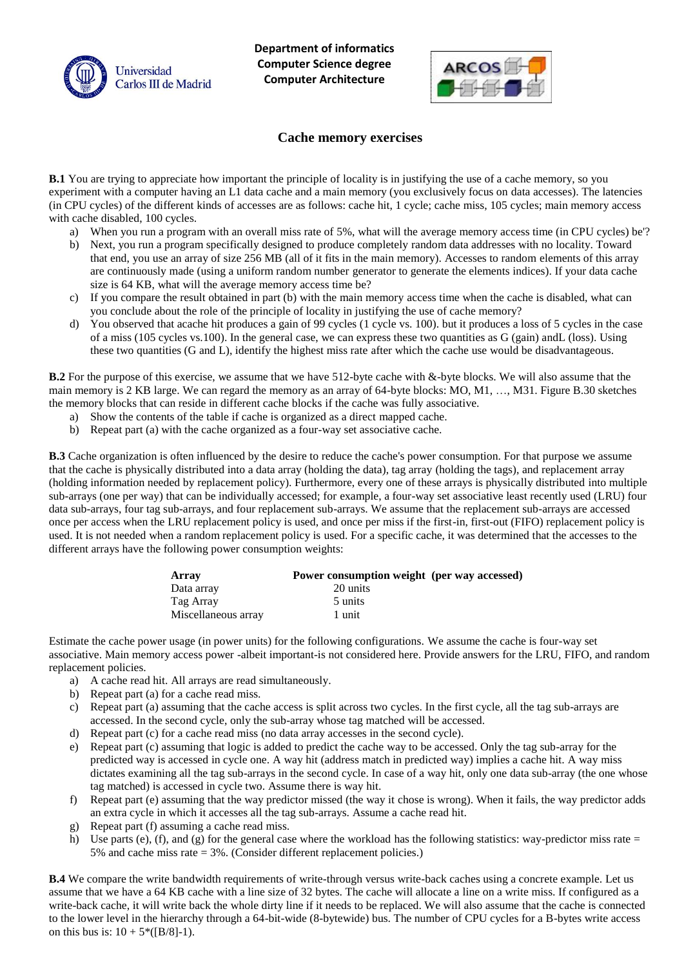



## **Cache memory exercises**

**B.1** You are trying to appreciate how important the principle of locality is in justifying the use of a cache memory, so you experiment with a computer having an L1 data cache and a main memory (you exclusively focus on data accesses). The latencies (in CPU cycles) of the different kinds of accesses are as follows: cache hit, 1 cycle; cache miss, 105 cycles; main memory access with cache disabled, 100 cycles.

- a) When you run a program with an overall miss rate of 5%, what will the average memory access time (in CPU cycles) be'?
- b) Next, you run a program specifically designed to produce completely random data addresses with no locality. Toward that end, you use an array of size 256 MB (all of it fits in the main memory). Accesses to random elements of this array are continuously made (using a uniform random number generator to generate the elements indices). If your data cache size is 64 KB, what will the average memory access time be?
- c) If you compare the result obtained in part (b) with the main memory access time when the cache is disabled, what can you conclude about the role of the principle of locality in justifying the use of cache memory?
- d) You observed that acache hit produces a gain of 99 cycles (1 cycle vs. 100). but it produces a loss of 5 cycles in the case of a miss (105 cycles vs.100). In the general case, we can express these two quantities as G (gain) andL (loss). Using these two quantities (G and L), identify the highest miss rate after which the cache use would be disadvantageous.

**B.2** For the purpose of this exercise, we assume that we have 512-byte cache with &-byte blocks. We will also assume that the main memory is 2 KB large. We can regard the memory as an array of 64-byte blocks: MO, M1, …, M31. Figure B.30 sketches the memory blocks that can reside in different cache blocks if the cache was fully associative.

- a) Show the contents of the table if cache is organized as a direct mapped cache.
- b) Repeat part (a) with the cache organized as a four-way set associative cache.

**B.3** Cache organization is often influenced by the desire to reduce the cache's power consumption. For that purpose we assume that the cache is physically distributed into a data array (holding the data), tag array (holding the tags), and replacement array (holding information needed by replacement policy). Furthermore, every one of these arrays is physically distributed into multiple sub-arrays (one per way) that can be individually accessed; for example, a four-way set associative least recently used (LRU) four data sub-arrays, four tag sub-arrays, and four replacement sub-arrays. We assume that the replacement sub-arrays are accessed once per access when the LRU replacement policy is used, and once per miss if the first-in, first-out (FIFO) replacement policy is used. It is not needed when a random replacement policy is used. For a specific cache, it was determined that the accesses to the different arrays have the following power consumption weights:

| Array               | Power consumption weight (per way accessed) |  |
|---------------------|---------------------------------------------|--|
| Data array          | 20 units                                    |  |
| Tag Array           | 5 units                                     |  |
| Miscellaneous array | 1 unit                                      |  |

Estimate the cache power usage (in power units) for the following configurations. We assume the cache is four-way set associative. Main memory access power -albeit important-is not considered here. Provide answers for the LRU, FIFO, and random replacement policies.

- a) A cache read hit. All arrays are read simultaneously.
- b) Repeat part (a) for a cache read miss.
- c) Repeat part (a) assuming that the cache access is split across two cycles. In the first cycle, all the tag sub-arrays are accessed. In the second cycle, only the sub-array whose tag matched will be accessed.
- d) Repeat part (c) for a cache read miss (no data array accesses in the second cycle).
- e) Repeat part (c) assuming that logic is added to predict the cache way to be accessed. Only the tag sub-array for the predicted way is accessed in cycle one. A way hit (address match in predicted way) implies a cache hit. A way miss dictates examining all the tag sub-arrays in the second cycle. In case of a way hit, only one data sub-array (the one whose tag matched) is accessed in cycle two. Assume there is way hit.
- f) Repeat part (e) assuming that the way predictor missed (the way it chose is wrong). When it fails, the way predictor adds an extra cycle in which it accesses all the tag sub-arrays. Assume a cache read hit.
- g) Repeat part (f) assuming a cache read miss.
- h) Use parts (e), (f), and (g) for the general case where the workload has the following statistics: way-predictor miss rate  $=$ 5% and cache miss rate = 3%. (Consider different replacement policies.)

**B.4** We compare the write bandwidth requirements of write-through versus write-back caches using a concrete example. Let us assume that we have a 64 KB cache with a line size of 32 bytes. The cache will allocate a line on a write miss. If configured as a write-back cache, it will write back the whole dirty line if it needs to be replaced. We will also assume that the cache is connected to the lower level in the hierarchy through a 64-bit-wide (8-bytewide) bus. The number of CPU cycles for a B-bytes write access on this bus is:  $10 + 5*([B/8]-1)$ .